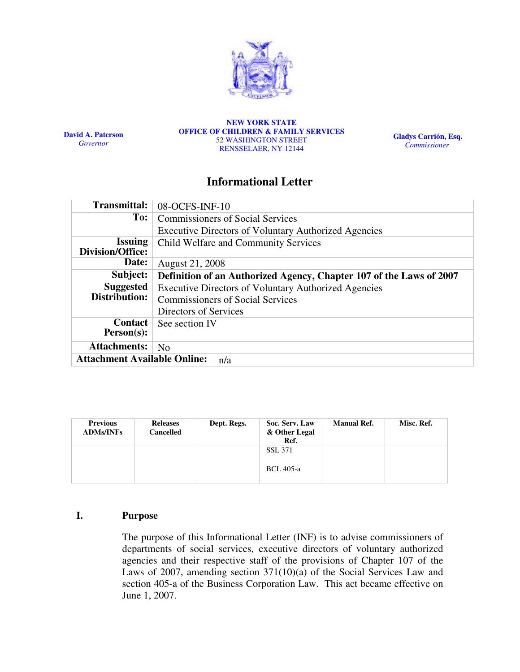

David A. Paterson Governor

NEW YORK STATE OFFICE OF CHILDREN & FAMILY SERVICES 52 WASHINGTON STREET RENSSELAER, NY 12144

Gladys Carrión, Esq. **Commissioner** 

# Informational Letter

| <b>Transmittal:</b>                        | 08-OCFS-INF-10                                                      |  |  |  |  |
|--------------------------------------------|---------------------------------------------------------------------|--|--|--|--|
| To:                                        | <b>Commissioners of Social Services</b>                             |  |  |  |  |
|                                            | <b>Executive Directors of Voluntary Authorized Agencies</b>         |  |  |  |  |
| <b>Issuing</b>                             | Child Welfare and Community Services                                |  |  |  |  |
| Division/Office:                           |                                                                     |  |  |  |  |
| Date:                                      | August 21, 2008                                                     |  |  |  |  |
| Subject:                                   | Definition of an Authorized Agency, Chapter 107 of the Laws of 2007 |  |  |  |  |
| <b>Suggested</b>                           | <b>Executive Directors of Voluntary Authorized Agencies</b>         |  |  |  |  |
| Distribution:                              | <b>Commissioners of Social Services</b>                             |  |  |  |  |
|                                            | Directors of Services                                               |  |  |  |  |
| <b>Contact</b>                             | See section IV                                                      |  |  |  |  |
| $Person(s)$ :                              |                                                                     |  |  |  |  |
| <b>Attachments:</b>                        | N <sub>0</sub>                                                      |  |  |  |  |
| <b>Attachment Available Online:</b><br>n/a |                                                                     |  |  |  |  |

| <b>Previous</b><br><b>ADMs/INFs</b> | <b>Releases</b><br><b>Cancelled</b> | Dept. Regs. | Soc. Serv. Law<br>& Other Legal<br>Ref. | <b>Manual Ref.</b> | Misc. Ref. |
|-------------------------------------|-------------------------------------|-------------|-----------------------------------------|--------------------|------------|
|                                     |                                     |             | <b>SSL 371</b>                          |                    |            |
|                                     |                                     |             | <b>BCL</b> 405-a                        |                    |            |

## I. Purpose

The purpose of this Informational Letter (INF) is to advise commissioners of departments of social services, executive directors of voluntary authorized agencies and their respective staff of the provisions of Chapter 107 of the Laws of 2007, amending section 371(10)(a) of the Social Services Law and section 405-a of the Business Corporation Law. This act became effective on June 1, 2007.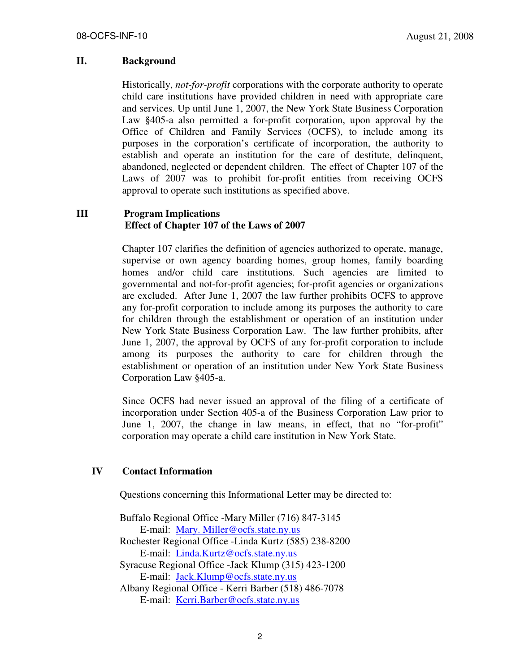#### II. Background

Historically, not-for-profit corporations with the corporate authority to operate child care institutions have provided children in need with appropriate care and services. Up until June 1, 2007, the New York State Business Corporation Law §405-a also permitted a for-profit corporation, upon approval by the Office of Children and Family Services (OCFS), to include among its purposes in the corporation's certificate of incorporation, the authority to establish and operate an institution for the care of destitute, delinquent, abandoned, neglected or dependent children. The effect of Chapter 107 of the Laws of 2007 was to prohibit for-profit entities from receiving OCFS approval to operate such institutions as specified above.

# III Program Implications Effect of Chapter 107 of the Laws of 2007

Chapter 107 clarifies the definition of agencies authorized to operate, manage, supervise or own agency boarding homes, group homes, family boarding homes and/or child care institutions. Such agencies are limited to governmental and not-for-profit agencies; for-profit agencies or organizations are excluded. After June 1, 2007 the law further prohibits OCFS to approve any for-profit corporation to include among its purposes the authority to care for children through the establishment or operation of an institution under New York State Business Corporation Law. The law further prohibits, after June 1, 2007, the approval by OCFS of any for-profit corporation to include among its purposes the authority to care for children through the establishment or operation of an institution under New York State Business Corporation Law §405-a.

Since OCFS had never issued an approval of the filing of a certificate of incorporation under Section 405-a of the Business Corporation Law prior to June 1, 2007, the change in law means, in effect, that no "for-profit" corporation may operate a child care institution in New York State.

### IV Contact Information

Questions concerning this Informational Letter may be directed to:

 Buffalo Regional Office -Mary Miller (716) 847-3145 E-mail: Mary. Miller@ocfs.state.ny.us Rochester Regional Office -Linda Kurtz (585) 238-8200 E-mail: Linda.Kurtz@ocfs.state.ny.us Syracuse Regional Office -Jack Klump (315) 423-1200 E-mail: Jack.Klump@ocfs.state.ny.us Albany Regional Office - Kerri Barber (518) 486-7078 E-mail: Kerri.Barber@ocfs.state.ny.us